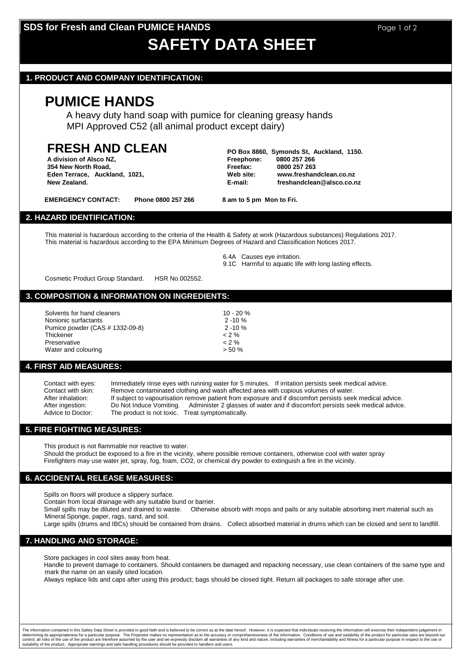# **SDS for Fresh and Clean PUMICE HANDS Page 1 of 2** Page 1 of 2

# **SAFETY DATA SHEET**

#### **1. PRODUCT AND COMPANY IDENTIFICATION:**

## **PUMICE HANDS**

A heavy duty hand soap with pumice for cleaning greasy hands MPI Approved C52 (all animal product except dairy)

# **FRESH AND CLEAN PO Box 8860, Symonds St, Auckland, 1150.**

**354 New North Road, Freefax: 0800 257 263**

**A division of Alsco NZ, Freephone: 0800 257 266 Eden Terrace, Auckland, 1021, Web site: www.freshandclean.co.nz New Zealand. E-mail: freshandclean@alsco.co.nz**

EMERGENCY CONTACT: Phone 0800 257 266 8 am to 5 pm Mon to Fri.

## **2. HAZARD IDENTIFICATION:**

This material is hazardous according to the criteria of the Health & Safety at work (Hazardous substances) Regulations 2017. This material is hazardous according to the EPA Minimum Degrees of Hazard and Classification Notices 2017.

6.4A Causes eye irritation.

9.1C Harmful to aquatic life with long lasting effects.

Cosmetic Product Group Standard. HSR No.002552.

#### **3. COMPOSITION & INFORMATION ON INGREDIENTS:**

| Solvents for hand cleaners      | $10 - 20 \%$ |
|---------------------------------|--------------|
| Nonionic surfactants            | $2 - 10 \%$  |
| Pumice powder (CAS # 1332-09-8) | $2 - 10 \%$  |
| Thickener                       | $0.2\%$      |
| Preservative                    | $0.2\%$      |
| Water and colouring             | $> 50 \%$    |

#### **4. FIRST AID MEASURES:**

| Contact with eyes: | Immediately rinse eyes with running water for 5 minutes. If irritation persists seek medical advice.     |
|--------------------|----------------------------------------------------------------------------------------------------------|
| Contact with skin: | Remove contaminated clothing and wash affected area with copious volumes of water.                       |
| After inhalation:  | If subject to vapourisation remove patient from exposure and if discomfort persists seek medical advice. |
| After ingestion:   | Do Not Induce Vomiting. Administer 2 glasses of water and if discomfort persists seek medical advice.    |
| Advice to Doctor:  | The product is not toxic. Treat symptomatically.                                                         |

#### **5. FIRE FIGHTING MEASURES:**

This product is not flammable nor reactive to water.

Should the product be exposed to a fire in the vicinity, where possible remove containers, otherwise cool with water spray Firefighters may use water jet, spray, fog, foam, CO2, or chemical dry powder to extinguish a fire in the vicinity.

#### **6. ACCIDENTAL RELEASE MEASURES:**

Spills on floors will produce a slippery surface.

Contain from local drainage with any suitable bund or barrier.

Small spills may be diluted and drained to waste. Otherwise absorb with mops and pails or any suitable absorbing inert material such as Mineral Sponge, paper, rags, sand, and soil.

Large spills (drums and IBCs) should be contained from drains. Collect absorbed material in drums which can be closed and sent to landfill.

### **7. HANDLING AND STORAGE:**

Store packages in cool sites away from heat.

Handle to prevent damage to containers. Should containers be damaged and repacking necessary, use clean containers of the same type and mark the name on an easily sited location.

Always replace lids and caps after using this product; bags should be closed tight. Return all packages to safe storage after use.

The information contained in this Safety Data Sheet is provided in good faith and is believed to be correct as at the date hereof. However, it is expected that individuals receiving the information will exercise their inde determining its appropriateness for a particular purpose. The Proprietor makes no representation as to the accuracy or comprehensiveness of the information. Conditions of use and suitability of the product for particular u suitability of the product. Appropriate warnings and safe handling procedures should be provided to handlers and users.